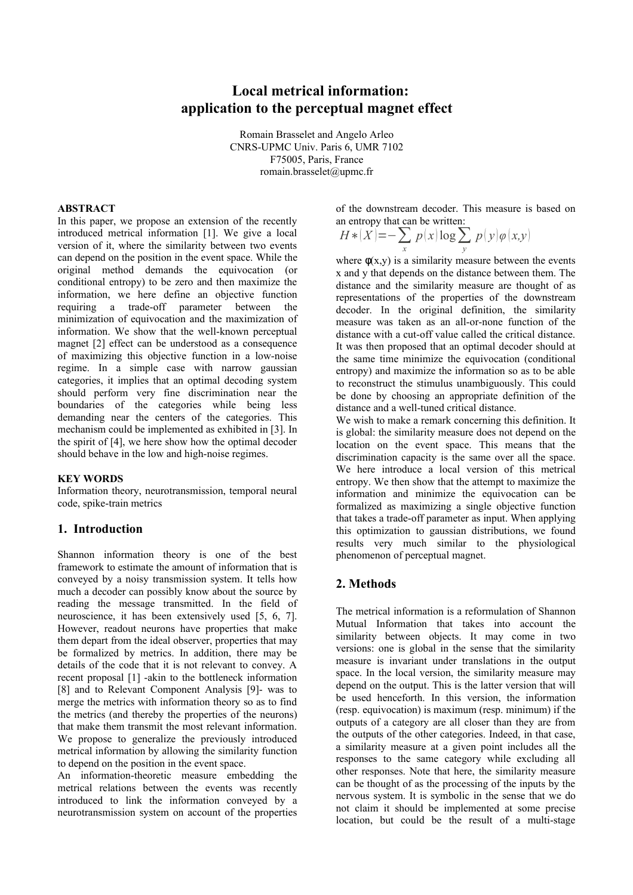# **Local metrical information: application to the perceptual magnet effect**

Romain Brasselet and Angelo Arleo CNRS-UPMC Univ. Paris 6, UMR 7102 F75005, Paris, France romain.brasselet@upmc.fr

#### **ABSTRACT**

In this paper, we propose an extension of the recently introduced metrical information [1]. We give a local version of it, where the similarity between two events can depend on the position in the event space. While the original method demands the equivocation (or conditional entropy) to be zero and then maximize the information, we here define an objective function requiring a trade-off parameter between the minimization of equivocation and the maximization of information. We show that the well-known perceptual magnet [2] effect can be understood as a consequence of maximizing this objective function in a low-noise regime. In a simple case with narrow gaussian categories, it implies that an optimal decoding system should perform very fine discrimination near the boundaries of the categories while being less demanding near the centers of the categories. This mechanism could be implemented as exhibited in [3]. In the spirit of [4], we here show how the optimal decoder should behave in the low and high-noise regimes.

#### **KEY WORDS**

Information theory, neurotransmission, temporal neural code, spike-train metrics

### **1. Introduction**

Shannon information theory is one of the best framework to estimate the amount of information that is conveyed by a noisy transmission system. It tells how much a decoder can possibly know about the source by reading the message transmitted. In the field of neuroscience, it has been extensively used [5, 6, 7]. However, readout neurons have properties that make them depart from the ideal observer, properties that may be formalized by metrics. In addition, there may be details of the code that it is not relevant to convey. A recent proposal [1] -akin to the bottleneck information [8] and to Relevant Component Analysis [9]- was to merge the metrics with information theory so as to find the metrics (and thereby the properties of the neurons) that make them transmit the most relevant information. We propose to generalize the previously introduced metrical information by allowing the similarity function to depend on the position in the event space.

An information-theoretic measure embedding the metrical relations between the events was recently introduced to link the information conveyed by a neurotransmission system on account of the properties of the downstream decoder. This measure is based on an entropy that can be written:

$$
H * \langle X \rangle = -\sum_{x} p(x) \log \sum_{y} p(y) \varphi(x, y)
$$

where  $\phi(x, y)$  is a similarity measure between the events x and y that depends on the distance between them. The distance and the similarity measure are thought of as representations of the properties of the downstream decoder. In the original definition, the similarity measure was taken as an all-or-none function of the distance with a cut-off value called the critical distance. It was then proposed that an optimal decoder should at the same time minimize the equivocation (conditional entropy) and maximize the information so as to be able to reconstruct the stimulus unambiguously. This could be done by choosing an appropriate definition of the distance and a well-tuned critical distance.

We wish to make a remark concerning this definition. It is global: the similarity measure does not depend on the location on the event space. This means that the discrimination capacity is the same over all the space. We here introduce a local version of this metrical entropy. We then show that the attempt to maximize the information and minimize the equivocation can be formalized as maximizing a single objective function that takes a trade-off parameter as input. When applying this optimization to gaussian distributions, we found results very much similar to the physiological phenomenon of perceptual magnet.

## **2. Methods**

The metrical information is a reformulation of Shannon Mutual Information that takes into account the similarity between objects. It may come in two versions: one is global in the sense that the similarity measure is invariant under translations in the output space. In the local version, the similarity measure may depend on the output. This is the latter version that will be used henceforth. In this version, the information (resp. equivocation) is maximum (resp. minimum) if the outputs of a category are all closer than they are from the outputs of the other categories. Indeed, in that case, a similarity measure at a given point includes all the responses to the same category while excluding all other responses. Note that here, the similarity measure can be thought of as the processing of the inputs by the nervous system. It is symbolic in the sense that we do not claim it should be implemented at some precise location, but could be the result of a multi-stage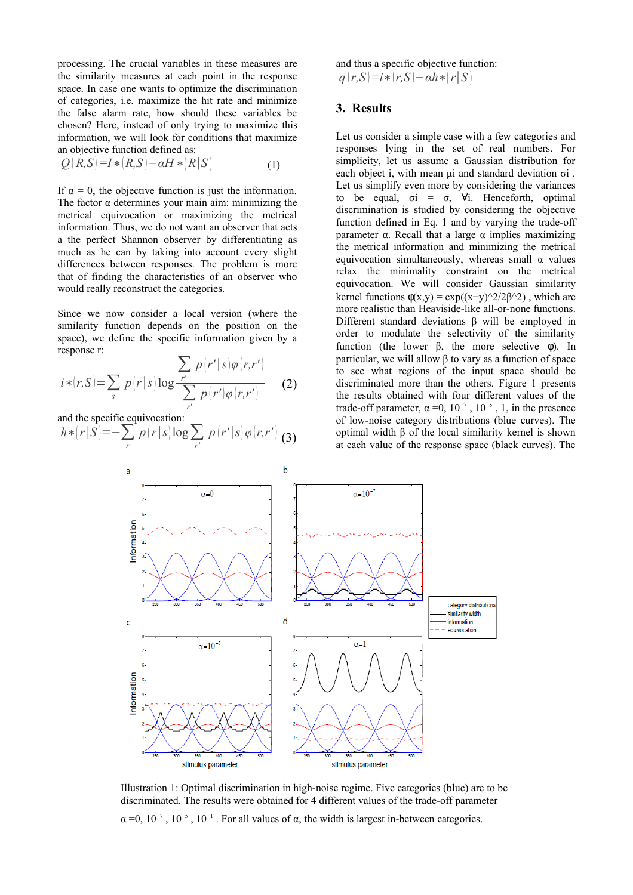processing. The crucial variables in these measures are the similarity measures at each point in the response space. In case one wants to optimize the discrimination of categories, i.e. maximize the hit rate and minimize the false alarm rate, how should these variables be chosen? Here, instead of only trying to maximize this information, we will look for conditions that maximize an objective function defined as:

$$
Q(R,S)=I*(R,S)-\alpha H*(R|S)
$$
 (1)

If  $\alpha = 0$ , the objective function is just the information. The factor  $\alpha$  determines your main aim: minimizing the metrical equivocation or maximizing the metrical information. Thus, we do not want an observer that acts a the perfect Shannon observer by differentiating as much as he can by taking into account every slight differences between responses. The problem is more that of finding the characteristics of an observer who would really reconstruct the categories.

Since we now consider a local version (where the similarity function depends on the position on the space), we define the specific information given by a response r:

$$
i * (r, S) = \sum_{s} p(r|s) \log \frac{\sum_{r'} p(r'|s) \varphi(r,r')}{\sum_{r'} p(r') \varphi(r,r')} \qquad (2)
$$

and the specific equivocation:

$$
h * (r|S) = -\sum_{r} p(r|s) \log \sum_{r'} p(r'|s) \varphi(r,r')
$$
 (3)

and thus a specific objective function:  $q(r, S) = i * (r, S) - \alpha h * (r | S)$ 

### **3. Results**

Let us consider a simple case with a few categories and responses lying in the set of real numbers. For simplicity, let us assume a Gaussian distribution for each object i, with mean μi and standard deviation σi . Let us simplify even more by considering the variances to be equal,  $\sigma i = \sigma$ ,  $\forall i$ . Henceforth, optimal discrimination is studied by considering the objective function defined in Eq. 1 and by varying the trade-off parameter α. Recall that a large α implies maximizing the metrical information and minimizing the metrical equivocation simultaneously, whereas small  $\alpha$  values relax the minimality constraint on the metrical equivocation. We will consider Gaussian similarity kernel functions  $\phi(x,y) = \exp((x-y)^{2/2}\beta^{2})$ , which are more realistic than Heaviside-like all-or-none functions. Different standard deviations β will be employed in order to modulate the selectivity of the similarity function (the lower β, the more selective φ). In particular, we will allow β to vary as a function of space to see what regions of the input space should be discriminated more than the others. Figure 1 presents the results obtained with four different values of the trade-off parameter,  $\alpha = 0$ ,  $10^{-7}$ ,  $10^{-5}$ , 1, in the presence of low-noise category distributions (blue curves). The optimal width β of the local similarity kernel is shown at each value of the response space (black curves). The



Illustration 1: Optimal discrimination in high-noise regime. Five categories (blue) are to be discriminated. The results were obtained for 4 different values of the trade-off parameter

 $\alpha$  =0, 10<sup>-7</sup>, 10<sup>-5</sup>, 10<sup>-1</sup>. For all values of  $\alpha$ , the width is largest in-between categories.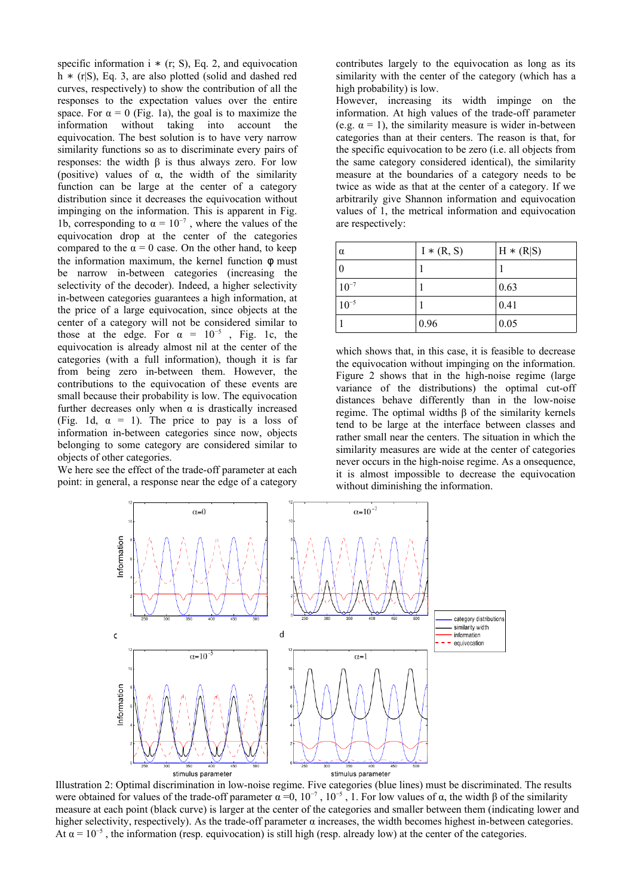specific information i  $*$  (r; S), Eq. 2, and equivocation h  $*(r|S)$ , Eq. 3, are also plotted (solid and dashed red curves, respectively) to show the contribution of all the responses to the expectation values over the entire space. For  $\alpha = 0$  (Fig. 1a), the goal is to maximize the information without taking into account the equivocation. The best solution is to have very narrow similarity functions so as to discriminate every pairs of responses: the width β is thus always zero. For low (positive) values of  $\alpha$ , the width of the similarity function can be large at the center of a category distribution since it decreases the equivocation without impinging on the information. This is apparent in Fig. 1b, corresponding to  $\alpha = 10^{-7}$ , where the values of the equivocation drop at the center of the categories compared to the  $\alpha = 0$  case. On the other hand, to keep the information maximum, the kernel function  $\phi$  must be narrow in-between categories (increasing the selectivity of the decoder). Indeed, a higher selectivity in-between categories guarantees a high information, at the price of a large equivocation, since objects at the center of a category will not be considered similar to those at the edge. For  $\alpha = 10^{-5}$ , Fig. 1c, the equivocation is already almost nil at the center of the categories (with a full information), though it is far from being zero in-between them. However, the contributions to the equivocation of these events are small because their probability is low. The equivocation further decreases only when  $\alpha$  is drastically increased (Fig. 1d,  $\alpha = 1$ ). The price to pay is a loss of information in-between categories since now, objects belonging to some category are considered similar to objects of other categories.

We here see the effect of the trade-off parameter at each point: in general, a response near the edge of a category contributes largely to the equivocation as long as its similarity with the center of the category (which has a high probability) is low.

However, increasing its width impinge on the information. At high values of the trade-off parameter (e.g.  $\alpha = 1$ ), the similarity measure is wider in-between categories than at their centers. The reason is that, for the specific equivocation to be zero (i.e. all objects from the same category considered identical), the similarity measure at the boundaries of a category needs to be twice as wide as that at the center of a category. If we arbitrarily give Shannon information and equivocation values of 1, the metrical information and equivocation are respectively:

| $\alpha$  | $I * (R, S)$ | $H * (R S)$ |
|-----------|--------------|-------------|
|           |              |             |
| $10^{-7}$ |              | 0.63        |
| $10^{-5}$ |              | 0.41        |
|           | 0.96         | 0.05        |

which shows that, in this case, it is feasible to decrease the equivocation without impinging on the information. Figure 2 shows that in the high-noise regime (large variance of the distributions) the optimal cut-off distances behave differently than in the low-noise regime. The optimal widths β of the similarity kernels tend to be large at the interface between classes and rather small near the centers. The situation in which the similarity measures are wide at the center of categories never occurs in the high-noise regime. As a onsequence, it is almost impossible to decrease the equivocation without diminishing the information.



Illustration 2: Optimal discrimination in low-noise regime. Five categories (blue lines) must be discriminated. The results were obtained for values of the trade-off parameter  $\alpha = 0, 10^{-7}, 10^{-5}, 1$ . For low values of  $\alpha$ , the width  $\beta$  of the similarity measure at each point (black curve) is larger at the center of the categories and smaller between them (indicating lower and higher selectivity, respectively). As the trade-off parameter  $\alpha$  increases, the width becomes highest in-between categories. At  $\alpha = 10^{-5}$ , the information (resp. equivocation) is still high (resp. already low) at the center of the categories.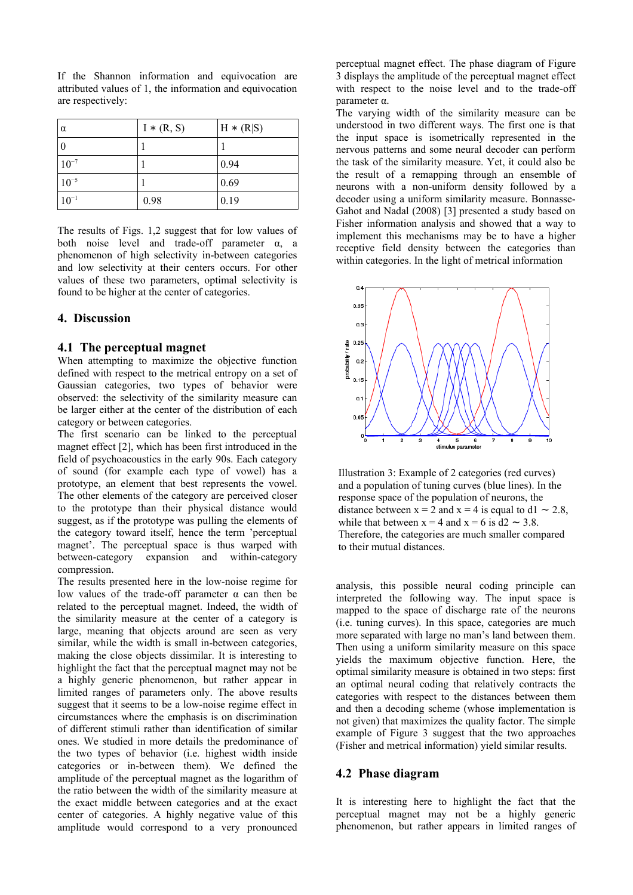$\alpha$  I \* (R, S)  $\qquad$  H \* (R|S) 0  $\vert 1$   $\vert 1$  $10^{-7}$  1 0.94  $10^{-5}$  1 0.69 10−1 0.98 0.19

If the Shannon information and equivocation are attributed values of 1, the information and equivocation are respectively:

The results of Figs. 1,2 suggest that for low values of both noise level and trade-off parameter  $\alpha$ , a phenomenon of high selectivity in-between categories and low selectivity at their centers occurs. For other values of these two parameters, optimal selectivity is found to be higher at the center of categories.

### **4. Discussion**

#### **4.1 The perceptual magnet**

When attempting to maximize the objective function defined with respect to the metrical entropy on a set of Gaussian categories, two types of behavior were observed: the selectivity of the similarity measure can be larger either at the center of the distribution of each category or between categories.

The first scenario can be linked to the perceptual magnet effect [2], which has been first introduced in the field of psychoacoustics in the early 90s. Each category of sound (for example each type of vowel) has a prototype, an element that best represents the vowel. The other elements of the category are perceived closer to the prototype than their physical distance would suggest, as if the prototype was pulling the elements of the category toward itself, hence the term 'perceptual magnet'. The perceptual space is thus warped with between-category expansion and within-category compression.

The results presented here in the low-noise regime for low values of the trade-off parameter  $α$  can then be related to the perceptual magnet. Indeed, the width of the similarity measure at the center of a category is large, meaning that objects around are seen as very similar, while the width is small in-between categories, making the close objects dissimilar. It is interesting to highlight the fact that the perceptual magnet may not be a highly generic phenomenon, but rather appear in limited ranges of parameters only. The above results suggest that it seems to be a low-noise regime effect in circumstances where the emphasis is on discrimination of different stimuli rather than identification of similar ones. We studied in more details the predominance of the two types of behavior (i.e. highest width inside categories or in-between them). We defined the amplitude of the perceptual magnet as the logarithm of the ratio between the width of the similarity measure at the exact middle between categories and at the exact center of categories. A highly negative value of this amplitude would correspond to a very pronounced perceptual magnet effect. The phase diagram of Figure 3 displays the amplitude of the perceptual magnet effect with respect to the noise level and to the trade-off parameter α.

The varying width of the similarity measure can be understood in two different ways. The first one is that the input space is isometrically represented in the nervous patterns and some neural decoder can perform the task of the similarity measure. Yet, it could also be the result of a remapping through an ensemble of neurons with a non-uniform density followed by a decoder using a uniform similarity measure. Bonnasse-Gahot and Nadal (2008) [3] presented a study based on Fisher information analysis and showed that a way to implement this mechanisms may be to have a higher receptive field density between the categories than within categories. In the light of metrical information



Illustration 3: Example of 2 categories (red curves) and a population of tuning curves (blue lines). In the response space of the population of neurons, the distance between  $x = 2$  and  $x = 4$  is equal to d1 ~ 2.8, while that between  $x = 4$  and  $x = 6$  is d2 ~ 3.8. Therefore, the categories are much smaller compared to their mutual distances.

analysis, this possible neural coding principle can interpreted the following way. The input space is mapped to the space of discharge rate of the neurons (i.e. tuning curves). In this space, categories are much more separated with large no man's land between them. Then using a uniform similarity measure on this space yields the maximum objective function. Here, the optimal similarity measure is obtained in two steps: first an optimal neural coding that relatively contracts the categories with respect to the distances between them and then a decoding scheme (whose implementation is not given) that maximizes the quality factor. The simple example of Figure 3 suggest that the two approaches (Fisher and metrical information) yield similar results.

### **4.2 Phase diagram**

It is interesting here to highlight the fact that the perceptual magnet may not be a highly generic phenomenon, but rather appears in limited ranges of